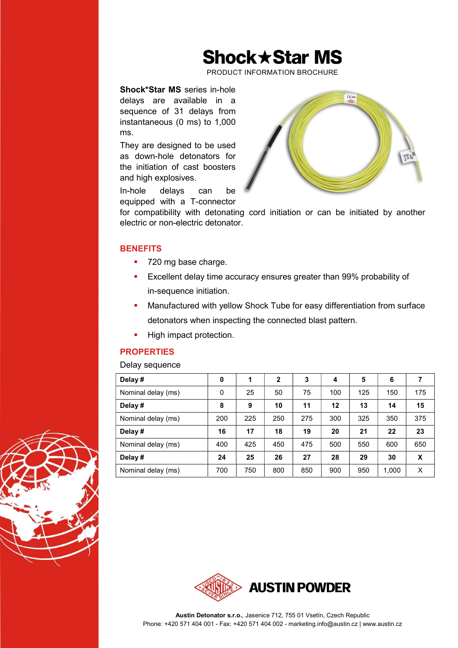## **Shock ★ Star MS**

PRODUCT INFORMATION BROCHURE

## Shock\*Star MS series in-hole delays are available in a sequence of 31 delays from instantaneous (0 ms) to 1,000 ms.

They are designed to be used as down-hole detonators for the initiation of cast boosters and high explosives.

In-hole delays can be equipped with a T-connector



for compatibility with detonating cord initiation or can be initiated by another electric or non-electric detonator.

### **BENEFITS**

- 720 mg base charge.
- Excellent delay time accuracy ensures greater than 99% probability of in-sequence initiation.
- Manufactured with yellow Shock Tube for easy differentiation from surface detonators when inspecting the connected blast pattern.
- High impact protection.

## **PROPERTIES**

#### Delay sequence

| Delay#             | 0   | 1   | $\mathbf{2}$ | 3   | 4   | 5   | 6     |     |
|--------------------|-----|-----|--------------|-----|-----|-----|-------|-----|
| Nominal delay (ms) | 0   | 25  | 50           | 75  | 100 | 125 | 150   | 175 |
| Delay#             | 8   | 9   | 10           | 11  | 12  | 13  | 14    | 15  |
| Nominal delay (ms) | 200 | 225 | 250          | 275 | 300 | 325 | 350   | 375 |
| Delay#             | 16  | 17  | 18           | 19  | 20  | 21  | 22    | 23  |
| Nominal delay (ms) | 400 | 425 | 450          | 475 | 500 | 550 | 600   | 650 |
| Delay#             | 24  | 25  | 26           | 27  | 28  | 29  | 30    | X   |
| Nominal delay (ms) | 700 | 750 | 800          | 850 | 900 | 950 | 1,000 | X   |